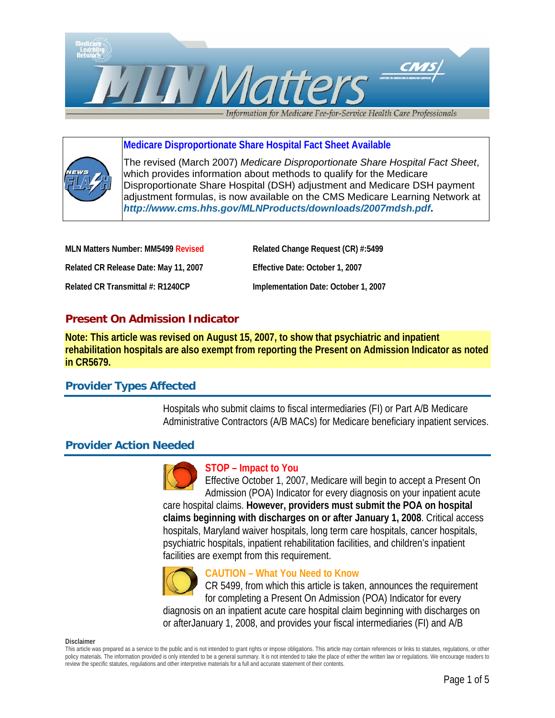

**Medicare Disproportionate Share Hospital Fact Sheet Available** 



The revised (March 2007) *Medicare Disproportionate Share Hospital Fact Sheet*, which provides information about methods to qualify for the Medicare Disproportionate Share Hospital (DSH) adjustment and Medicare DSH payment adjustment formulas, is now available on the CMS Medicare Learning Network at *<http://www.cms.hhs.gov/MLNProducts/downloads/2007mdsh.pdf>***.**

| MLN Matters Number: MM5499 Revised    | Related Change Request (CR) #:5499   |
|---------------------------------------|--------------------------------------|
| Related CR Release Date: May 11, 2007 | Effective Date: October 1, 2007      |
| Related CR Transmittal #: R1240CP     | Implementation Date: October 1, 2007 |

## **Present On Admission Indicator**

**Note: This article was revised on August 15, 2007, to show that psychiatric and inpatient rehabilitation hospitals are also exempt from reporting the Present on Admission Indicator as noted in CR5679.** 

# **Provider Types Affected**

Hospitals who submit claims to fiscal intermediaries (FI) or Part A/B Medicare Administrative Contractors (A/B MACs) for Medicare beneficiary inpatient services.

## **Provider Action Needed**



#### **STOP – Impact to You**

Effective October 1, 2007, Medicare will begin to accept a Present On Admission (POA) Indicator for every diagnosis on your inpatient acute care hospital claims. **However, providers must submit the POA on hospital claims beginning with discharges on or after January 1, 2008**. Critical access hospitals, Maryland waiver hospitals, long term care hospitals, cancer hospitals, psychiatric hospitals, inpatient rehabilitation facilities, and children's inpatient facilities are exempt from this requirement.



#### **CAUTION – What You Need to Know**

CR 5499, from which this article is taken, announces the requirement for completing a Present On Admission (POA) Indicator for every diagnosis on an inpatient acute care hospital claim beginning with discharges on or afterJanuary 1, 2008, and provides your fiscal intermediaries (FI) and A/B

#### **Disclaimer**

This article was prepared as a service to the public and is not intended to grant rights or impose obligations. This article may contain references or links to statutes, regulations, or other policy materials. The information provided is only intended to be a general summary. It is not intended to take the place of either the written law or regulations. We encourage readers to review the specific statutes, regulations and other interpretive materials for a full and accurate statement of their contents.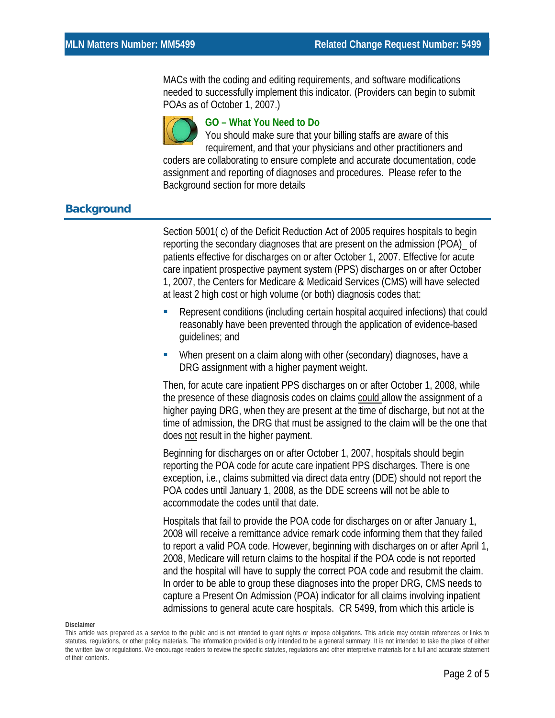MACs with the coding and editing requirements, and software modifications needed to successfully implement this indicator. (Providers can begin to submit POAs as of October 1, 2007.)



### **GO – What You Need to Do**

You should make sure that your billing staffs are aware of this requirement, and that your physicians and other practitioners and coders are collaborating to ensure complete and accurate documentation, code assignment and reporting of diagnoses and procedures. Please refer to the Background section for more details

# **Background**

Section 5001( c) of the Deficit Reduction Act of 2005 requires hospitals to begin reporting the secondary diagnoses that are present on the admission (POA)\_ of patients effective for discharges on or after October 1, 2007. Effective for acute care inpatient prospective payment system (PPS) discharges on or after October 1, 2007, the Centers for Medicare & Medicaid Services (CMS) will have selected at least 2 high cost or high volume (or both) diagnosis codes that:

- Represent conditions (including certain hospital acquired infections) that could reasonably have been prevented through the application of evidence-based guidelines; and
- When present on a claim along with other (secondary) diagnoses, have a DRG assignment with a higher payment weight.

Then, for acute care inpatient PPS discharges on or after October 1, 2008, while the presence of these diagnosis codes on claims could allow the assignment of a higher paying DRG, when they are present at the time of discharge, but not at the time of admission, the DRG that must be assigned to the claim will be the one that does not result in the higher payment.

Beginning for discharges on or after October 1, 2007, hospitals should begin reporting the POA code for acute care inpatient PPS discharges. There is one exception, i.e., claims submitted via direct data entry (DDE) should not report the POA codes until January 1, 2008, as the DDE screens will not be able to accommodate the codes until that date.

Hospitals that fail to provide the POA code for discharges on or after January 1, 2008 will receive a remittance advice remark code informing them that they failed to report a valid POA code. However, beginning with discharges on or after April 1, 2008, Medicare will return claims to the hospital if the POA code is not reported and the hospital will have to supply the correct POA code and resubmit the claim. In order to be able to group these diagnoses into the proper DRG, CMS needs to capture a Present On Admission (POA) indicator for all claims involving inpatient admissions to general acute care hospitals. CR 5499, from which this article is

This article was prepared as a service to the public and is not intended to grant rights or impose obligations. This article may contain references or links to statutes, regulations, or other policy materials. The information provided is only intended to be a general summary. It is not intended to take the place of either the written law or regulations. We encourage readers to review the specific statutes, regulations and other interpretive materials for a full and accurate statement of their contents.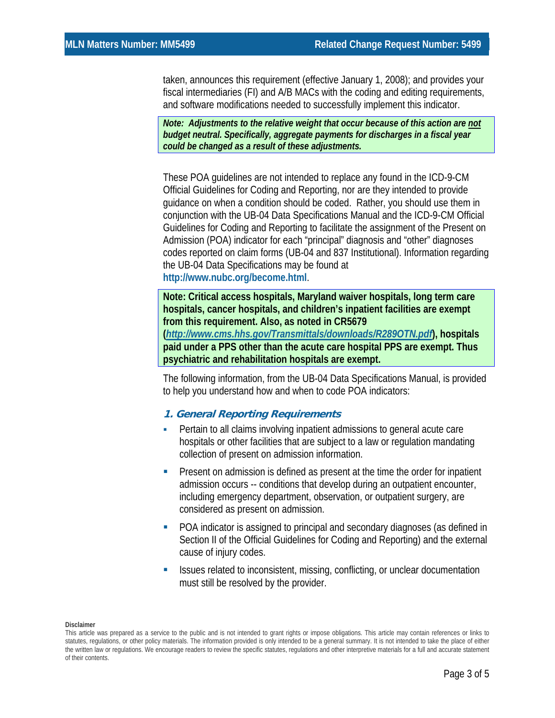taken, announces this requirement (effective January 1, 2008); and provides your fiscal intermediaries (FI) and A/B MACs with the coding and editing requirements, and software modifications needed to successfully implement this indicator.

*Note: Adjustments to the relative weight that occur because of this action are not budget neutral. Specifically, aggregate payments for discharges in a fiscal year could be changed as a result of these adjustments.* 

These POA guidelines are not intended to replace any found in the ICD-9-CM Official Guidelines for Coding and Reporting, nor are they intended to provide guidance on when a condition should be coded. Rather, you should use them in conjunction with the UB-04 Data Specifications Manual and the ICD-9-CM Official Guidelines for Coding and Reporting to facilitate the assignment of the Present on Admission (POA) indicator for each "principal" diagnosis and "other" diagnoses codes reported on claim forms (UB-04 and 837 Institutional). Information regarding the UB-04 Data Specifications may be found at **<http://www.nubc.org/become.html>**.

**Note: Critical access hospitals, Maryland waiver hospitals, long term care hospitals, cancer hospitals, and children's inpatient facilities are exempt from this requirement. Also, as noted in CR5679 (***<http://www.cms.hhs.gov/Transmittals/downloads/R289OTN.pdf>***), hospitals paid under a PPS other than the acute care hospital PPS are exempt. Thus psychiatric and rehabilitation hospitals are exempt.** 

The following information, from the UB-04 Data Specifications Manual, is provided to help you understand how and when to code POA indicators:

#### **1. General Reporting Requirements**

- Pertain to all claims involving inpatient admissions to general acute care hospitals or other facilities that are subject to a law or regulation mandating collection of present on admission information.
- Present on admission is defined as present at the time the order for inpatient admission occurs -- conditions that develop during an outpatient encounter, including emergency department, observation, or outpatient surgery, are considered as present on admission.
- **POA indicator is assigned to principal and secondary diagnoses (as defined in** Section II of the Official Guidelines for Coding and Reporting) and the external cause of injury codes.
- **EXECT** Issues related to inconsistent, missing, conflicting, or unclear documentation must still be resolved by the provider.

This article was prepared as a service to the public and is not intended to grant rights or impose obligations. This article may contain references or links to statutes, regulations, or other policy materials. The information provided is only intended to be a general summary. It is not intended to take the place of either the written law or regulations. We encourage readers to review the specific statutes, regulations and other interpretive materials for a full and accurate statement of their contents.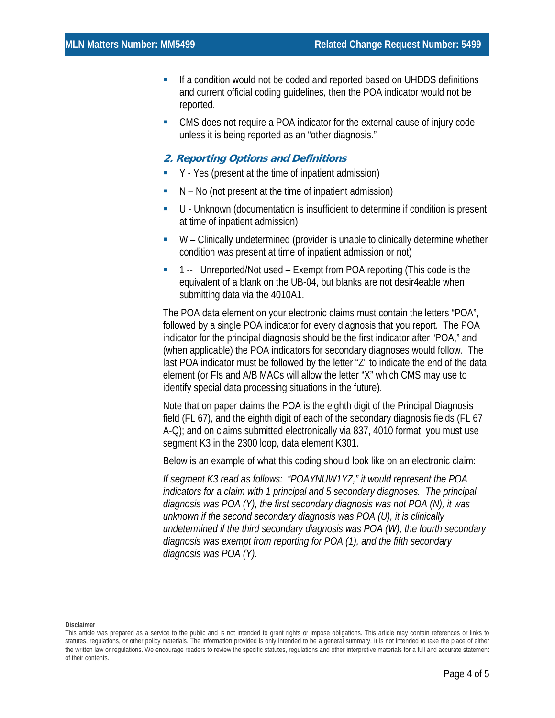- If a condition would not be coded and reported based on UHDDS definitions and current official coding guidelines, then the POA indicator would not be reported.
- CMS does not require a POA indicator for the external cause of injury code unless it is being reported as an "other diagnosis."

#### **2. Reporting Options and Definitions**

- Y Yes (present at the time of inpatient admission)
- N No (not present at the time of inpatient admission)
- U Unknown (documentation is insufficient to determine if condition is present at time of inpatient admission)
- W Clinically undetermined (provider is unable to clinically determine whether condition was present at time of inpatient admission or not)
- 1 -- Unreported/Not used Exempt from POA reporting (This code is the equivalent of a blank on the UB-04, but blanks are not desir4eable when submitting data via the 4010A1.

The POA data element on your electronic claims must contain the letters "POA", followed by a single POA indicator for every diagnosis that you report. The POA indicator for the principal diagnosis should be the first indicator after "POA," and (when applicable) the POA indicators for secondary diagnoses would follow. The last POA indicator must be followed by the letter "Z" to indicate the end of the data element (or FIs and A/B MACs will allow the letter "X" which CMS may use to identify special data processing situations in the future).

Note that on paper claims the POA is the eighth digit of the Principal Diagnosis field (FL 67), and the eighth digit of each of the secondary diagnosis fields (FL 67 A-Q); and on claims submitted electronically via 837, 4010 format, you must use segment K3 in the 2300 loop, data element K301.

Below is an example of what this coding should look like on an electronic claim:

*If segment K3 read as follows: "POAYNUW1YZ," it would represent the POA indicators for a claim with 1 principal and 5 secondary diagnoses. The principal diagnosis was POA (Y), the first secondary diagnosis was not POA (N), it was unknown if the second secondary diagnosis was POA (U), it is clinically undetermined if the third secondary diagnosis was POA (W), the fourth secondary diagnosis was exempt from reporting for POA (1), and the fifth secondary diagnosis was POA (Y).* 

This article was prepared as a service to the public and is not intended to grant rights or impose obligations. This article may contain references or links to statutes, regulations, or other policy materials. The information provided is only intended to be a general summary. It is not intended to take the place of either the written law or regulations. We encourage readers to review the specific statutes, regulations and other interpretive materials for a full and accurate statement of their contents.